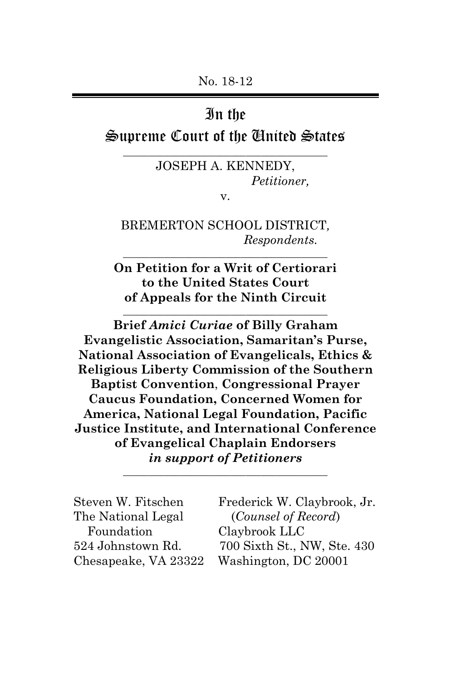### In the

Supreme Court of the United States \_\_\_\_\_\_\_\_\_\_\_\_\_\_\_\_\_\_\_\_\_\_\_\_\_\_\_\_\_\_\_\_\_\_\_\_\_\_\_\_

> JOSEPH A. KENNEDY, *Petitioner,*

v.

BREMERTON SCHOOL DISTRICT*, Respondents.* \_\_\_\_\_\_\_\_\_\_\_\_\_\_\_\_\_\_\_\_\_\_\_\_\_\_\_\_\_\_\_\_\_\_\_\_\_\_\_\_

**On Petition for a Writ of Certiorari to the United States Court of Appeals for the Ninth Circuit**

 $\overline{\phantom{a}}$  , which is a set of the set of the set of the set of the set of the set of the set of the set of the set of the set of the set of the set of the set of the set of the set of the set of the set of the set of th

**Brief** *Amici Curiae* **of Billy Graham Evangelistic Association, Samaritan's Purse, National Association of Evangelicals, Ethics & Religious Liberty Commission of the Southern Baptist Convention**, **Congressional Prayer Caucus Foundation, Concerned Women for America, National Legal Foundation, Pacific Justice Institute, and International Conference of Evangelical Chaplain Endorsers** *in support of Petitioners*

| Steven W. Fitschen   | Frederick W. Claybrook, Jr. |
|----------------------|-----------------------------|
| The National Legal   | (Counsel of Record)         |
| Foundation           | Claybrook LLC               |
| 524 Johnstown Rd.    | 700 Sixth St., NW, Ste. 430 |
| Chesapeake, VA 23322 | Washington, DC 20001        |

\_\_\_\_\_\_\_\_\_\_\_\_\_\_\_\_\_\_\_\_\_\_\_\_\_\_\_\_\_\_\_\_\_\_\_\_\_\_\_\_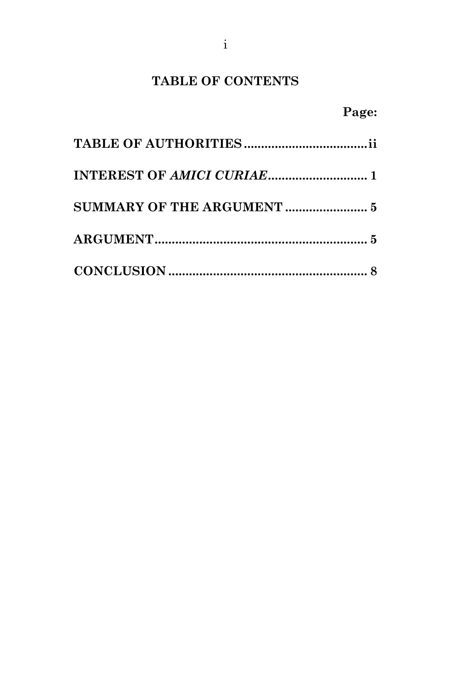## **TABLE OF CONTENTS**

# **Page:**

| SUMMARY OF THE ARGUMENT  5 |  |
|----------------------------|--|
|                            |  |
|                            |  |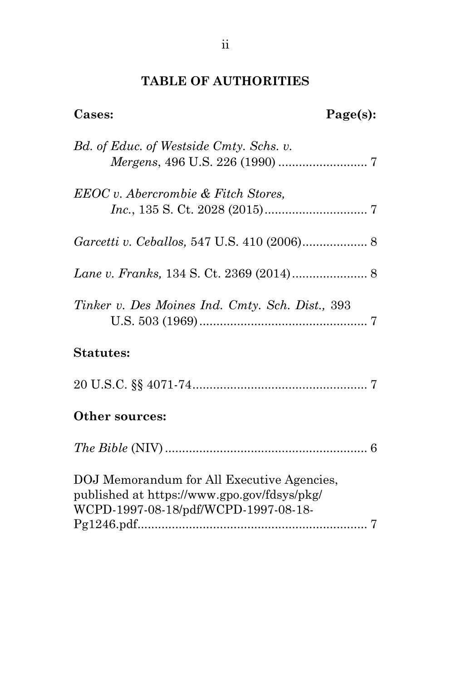## **TABLE OF AUTHORITIES**

| Cases:                                                                                                                            | Page(s): |
|-----------------------------------------------------------------------------------------------------------------------------------|----------|
| Bd. of Educ. of Westside Cmty. Schs. v.                                                                                           |          |
| EEOC v. Abercrombie & Fitch Stores,                                                                                               |          |
|                                                                                                                                   |          |
|                                                                                                                                   |          |
| Tinker v. Des Moines Ind. Cmty. Sch. Dist., 393                                                                                   |          |
| <b>Statutes:</b>                                                                                                                  |          |
|                                                                                                                                   |          |
| Other sources:                                                                                                                    |          |
|                                                                                                                                   |          |
| DOJ Memorandum for All Executive Agencies,<br>published at https://www.gpo.gov/fdsys/pkg/<br>WCPD-1997-08-18/pdf/WCPD-1997-08-18- |          |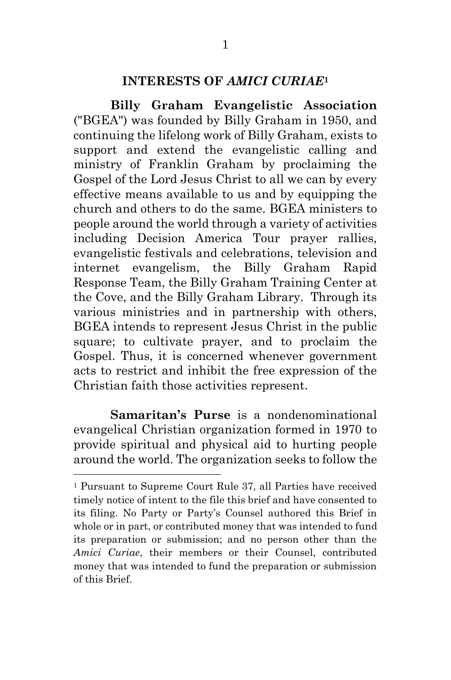### **INTERESTS OF** *AMICI CURIAE***<sup>1</sup>**

**Billy Graham Evangelistic Association** ("BGEA") was founded by Billy Graham in 1950, and continuing the lifelong work of Billy Graham, exists to support and extend the evangelistic calling and ministry of Franklin Graham by proclaiming the Gospel of the Lord Jesus Christ to all we can by every effective means available to us and by equipping the church and others to do the same. BGEA ministers to people around the world through a variety of activities including Decision America Tour prayer rallies, evangelistic festivals and celebrations, television and internet evangelism, the Billy Graham Rapid Response Team, the Billy Graham Training Center at the Cove, and the Billy Graham Library. Through its various ministries and in partnership with others, BGEA intends to represent Jesus Christ in the public square; to cultivate prayer, and to proclaim the Gospel. Thus, it is concerned whenever government acts to restrict and inhibit the free expression of the Christian faith those activities represent.

**Samaritan's Purse** is a nondenominational evangelical Christian organization formed in 1970 to provide spiritual and physical aid to hurting people around the world. The organization seeks to follow the

 $\overline{\phantom{a}}$ 

<sup>1</sup> Pursuant to Supreme Court Rule 37, all Parties have received timely notice of intent to the file this brief and have consented to its filing. No Party or Party's Counsel authored this Brief in whole or in part, or contributed money that was intended to fund its preparation or submission; and no person other than the *Amici Curiae*, their members or their Counsel, contributed money that was intended to fund the preparation or submission of this Brief.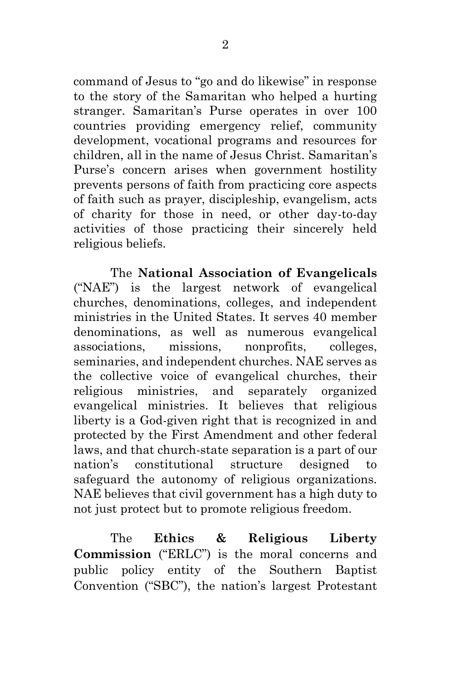command of Jesus to "go and do likewise" in response to the story of the Samaritan who helped a hurting stranger. Samaritan's Purse operates in over 100 countries providing emergency relief, community development, vocational programs and resources for children, all in the name of Jesus Christ. Samaritan's Purse's concern arises when government hostility prevents persons of faith from practicing core aspects of faith such as prayer, discipleship, evangelism, acts of charity for those in need, or other day-to-day activities of those practicing their sincerely held religious beliefs.

The **National Association of Evangelicals** ("NAE") is the largest network of evangelical churches, denominations, colleges, and independent ministries in the United States. It serves 40 member denominations, as well as numerous evangelical associations, missions, nonprofits, colleges, seminaries, and independent churches. NAE serves as the collective voice of evangelical churches, their religious ministries, and separately organized evangelical ministries. It believes that religious liberty is a God-given right that is recognized in and protected by the First Amendment and other federal laws, and that church-state separation is a part of our nation's constitutional structure designed to safeguard the autonomy of religious organizations. NAE believes that civil government has a high duty to not just protect but to promote religious freedom.

The **Ethics & Religious Liberty Commission** ("ERLC") is the moral concerns and public policy entity of the Southern Baptist Convention ("SBC"), the nation's largest Protestant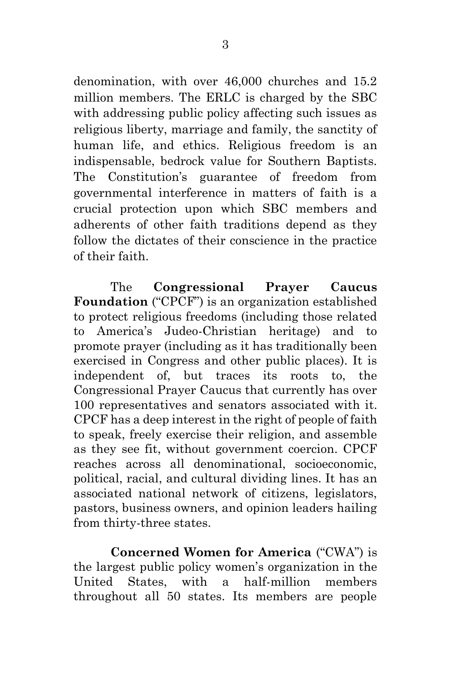denomination, with over 46,000 churches and 15.2 million members. The ERLC is charged by the SBC with addressing public policy affecting such issues as religious liberty, marriage and family, the sanctity of human life, and ethics. Religious freedom is an indispensable, bedrock value for Southern Baptists. The Constitution's guarantee of freedom from governmental interference in matters of faith is a crucial protection upon which SBC members and adherents of other faith traditions depend as they follow the dictates of their conscience in the practice of their faith.

The **Congressional Prayer Caucus Foundation** ("CPCF") is an organization established to protect religious freedoms (including those related to America's Judeo-Christian heritage) and to promote prayer (including as it has traditionally been exercised in Congress and other public places). It is independent of, but traces its roots to, the Congressional Prayer Caucus that currently has over 100 representatives and senators associated with it. CPCF has a deep interest in the right of people of faith to speak, freely exercise their religion, and assemble as they see fit, without government coercion. CPCF reaches across all denominational, socioeconomic, political, racial, and cultural dividing lines. It has an associated national network of citizens, legislators, pastors, business owners, and opinion leaders hailing from thirty-three states.

**Concerned Women for America** ("CWA") is the largest public policy women's organization in the United States, with a half-million members throughout all 50 states. Its members are people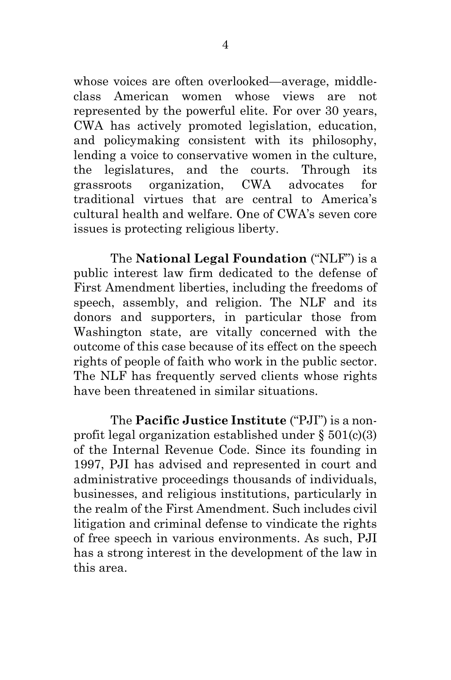whose voices are often overlooked—average, middleclass American women whose views are not represented by the powerful elite. For over 30 years, CWA has actively promoted legislation, education, and policymaking consistent with its philosophy, lending a voice to conservative women in the culture, the legislatures, and the courts. Through its grassroots organization, CWA advocates for traditional virtues that are central to America's cultural health and welfare. One of CWA's seven core issues is protecting religious liberty.

The **National Legal Foundation** ("NLF") is a public interest law firm dedicated to the defense of First Amendment liberties, including the freedoms of speech, assembly, and religion. The NLF and its donors and supporters, in particular those from Washington state, are vitally concerned with the outcome of this case because of its effect on the speech rights of people of faith who work in the public sector. The NLF has frequently served clients whose rights have been threatened in similar situations.

The **Pacific Justice Institute** ("PJI") is a nonprofit legal organization established under  $\S 501(c)(3)$ of the Internal Revenue Code. Since its founding in 1997, PJI has advised and represented in court and administrative proceedings thousands of individuals, businesses, and religious institutions, particularly in the realm of the First Amendment. Such includes civil litigation and criminal defense to vindicate the rights of free speech in various environments. As such, PJI has a strong interest in the development of the law in this area.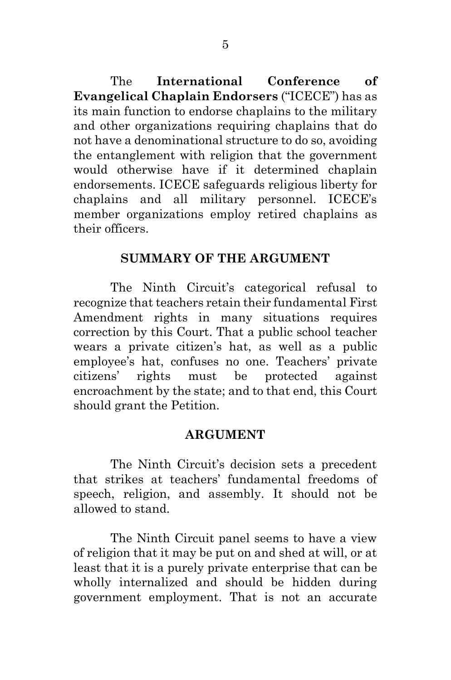The **International Conference of Evangelical Chaplain Endorsers** ("ICECE") has as its main function to endorse chaplains to the military and other organizations requiring chaplains that do not have a denominational structure to do so, avoiding the entanglement with religion that the government would otherwise have if it determined chaplain endorsements. ICECE safeguards religious liberty for chaplains and all military personnel. ICECE's member organizations employ retired chaplains as their officers.

### **SUMMARY OF THE ARGUMENT**

The Ninth Circuit's categorical refusal to recognize that teachers retain their fundamental First Amendment rights in many situations requires correction by this Court. That a public school teacher wears a private citizen's hat, as well as a public employee's hat, confuses no one. Teachers' private citizens' rights must be protected against encroachment by the state; and to that end, this Court should grant the Petition.

#### **ARGUMENT**

The Ninth Circuit's decision sets a precedent that strikes at teachers' fundamental freedoms of speech, religion, and assembly. It should not be allowed to stand.

The Ninth Circuit panel seems to have a view of religion that it may be put on and shed at will, or at least that it is a purely private enterprise that can be wholly internalized and should be hidden during government employment. That is not an accurate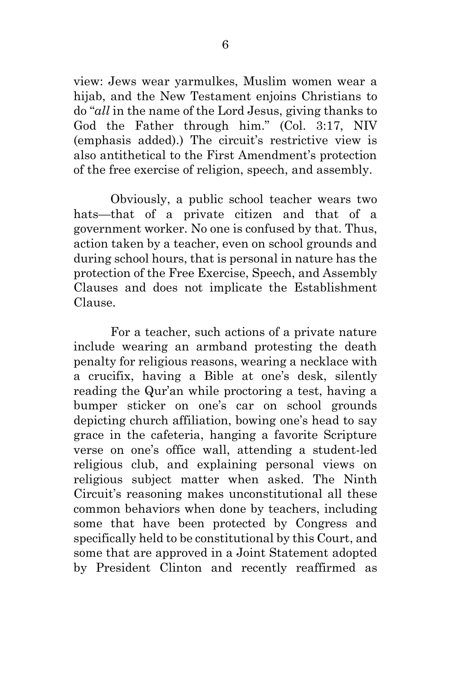view: Jews wear yarmulkes, Muslim women wear a hijab, and the New Testament enjoins Christians to do "*all* in the name of the Lord Jesus, giving thanks to God the Father through him." (Col. 3:17, NIV (emphasis added).) The circuit's restrictive view is also antithetical to the First Amendment's protection of the free exercise of religion, speech, and assembly.

Obviously, a public school teacher wears two hats—that of a private citizen and that of a government worker. No one is confused by that. Thus, action taken by a teacher, even on school grounds and during school hours, that is personal in nature has the protection of the Free Exercise, Speech, and Assembly Clauses and does not implicate the Establishment Clause.

For a teacher, such actions of a private nature include wearing an armband protesting the death penalty for religious reasons, wearing a necklace with a crucifix, having a Bible at one's desk, silently reading the Qur'an while proctoring a test, having a bumper sticker on one's car on school grounds depicting church affiliation, bowing one's head to say grace in the cafeteria, hanging a favorite Scripture verse on one's office wall, attending a student-led religious club, and explaining personal views on religious subject matter when asked. The Ninth Circuit's reasoning makes unconstitutional all these common behaviors when done by teachers, including some that have been protected by Congress and specifically held to be constitutional by this Court, and some that are approved in a Joint Statement adopted by President Clinton and recently reaffirmed as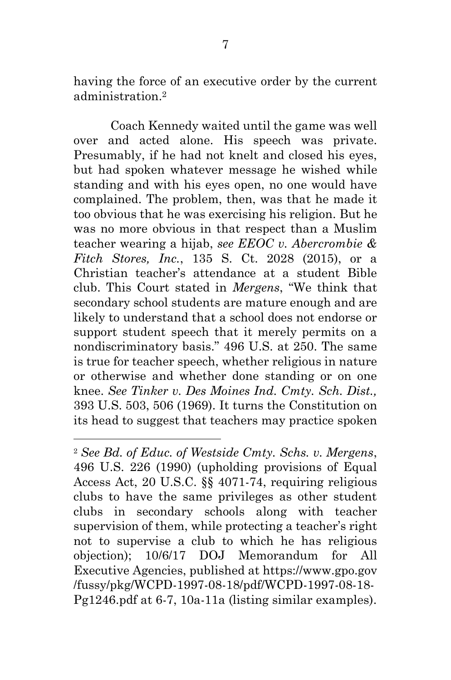having the force of an executive order by the current administration. 2

Coach Kennedy waited until the game was well over and acted alone. His speech was private. Presumably, if he had not knelt and closed his eyes, but had spoken whatever message he wished while standing and with his eyes open, no one would have complained. The problem, then, was that he made it too obvious that he was exercising his religion. But he was no more obvious in that respect than a Muslim teacher wearing a hijab, *see EEOC v. Abercrombie & Fitch Stores, Inc.*, 135 S. Ct. 2028 (2015), or a Christian teacher's attendance at a student Bible club. This Court stated in *Mergens*, "We think that secondary school students are mature enough and are likely to understand that a school does not endorse or support student speech that it merely permits on a nondiscriminatory basis." 496 U.S. at 250. The same is true for teacher speech, whether religious in nature or otherwise and whether done standing or on one knee. *See Tinker v. Des Moines Ind. Cmty. Sch. Dist.,* 393 U.S. 503, 506 (1969). It turns the Constitution on its head to suggest that teachers may practice spoken

 $\overline{\phantom{a}}$ 

<sup>2</sup> *See Bd. of Educ. of Westside Cmty. Schs. v. Mergens*, 496 U.S. 226 (1990) (upholding provisions of Equal Access Act, 20 U.S.C. §§ 4071-74, requiring religious clubs to have the same privileges as other student clubs in secondary schools along with teacher supervision of them, while protecting a teacher's right not to supervise a club to which he has religious objection); 10/6/17 DOJ Memorandum for All Executive Agencies, published at https://www.gpo.gov /fussy/pkg/WCPD-1997-08-18/pdf/WCPD-1997-08-18- Pg1246.pdf at 6-7, 10a-11a (listing similar examples).